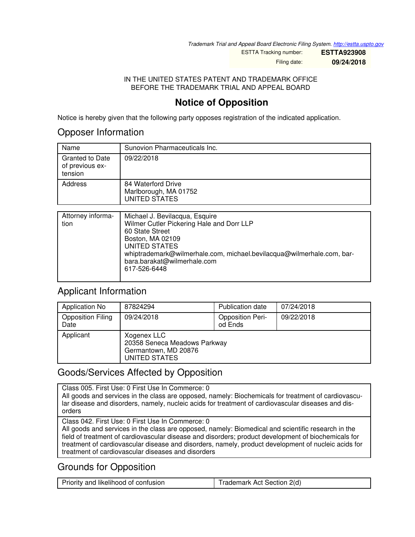*Trademark Trial and Appeal Board Electronic Filing System. <http://estta.uspto.gov>*

ESTTA Tracking number: **ESTTA923908**

Filing date: **09/24/2018**

#### IN THE UNITED STATES PATENT AND TRADEMARK OFFICE BEFORE THE TRADEMARK TRIAL AND APPEAL BOARD

# **Notice of Opposition**

Notice is hereby given that the following party opposes registration of the indicated application.

### Opposer Information

| Name                                                 | Sunovion Pharmaceuticals Inc.                                |
|------------------------------------------------------|--------------------------------------------------------------|
| <b>Granted to Date</b><br>of previous ex-<br>tension | 09/22/2018                                                   |
| Address                                              | 84 Waterford Drive<br>Marlborough, MA 01752<br>UNITED STATES |

| Attorney informa-<br>tion | Michael J. Bevilacqua, Esquire<br>Wilmer Cutler Pickering Hale and Dorr LLP<br>60 State Street<br>Boston, MA 02109<br>UNITED STATES<br>whiptrademark@wilmerhale.com, michael.bevilacqua@wilmerhale.com, bar-<br>bara.barakat@wilmerhale.com<br>617-526-6448 |
|---------------------------|-------------------------------------------------------------------------------------------------------------------------------------------------------------------------------------------------------------------------------------------------------------|
|                           |                                                                                                                                                                                                                                                             |

### Applicant Information

| <b>Application No</b>            | 87824294                                                                             | <b>Publication date</b>            | 07/24/2018 |
|----------------------------------|--------------------------------------------------------------------------------------|------------------------------------|------------|
| <b>Opposition Filing</b><br>Date | 09/24/2018                                                                           | <b>Opposition Peri-</b><br>od Ends | 09/22/2018 |
| Applicant                        | Xogenex LLC<br>20358 Seneca Meadows Parkway<br>Germantown, MD 20876<br>UNITED STATES |                                    |            |

## Goods/Services Affected by Opposition

Class 005. First Use: 0 First Use In Commerce: 0 All goods and services in the class are opposed, namely: Biochemicals for treatment of cardiovascular disease and disorders, namely, nucleic acids for treatment of cardiovascular diseases and disorders

Class 042. First Use: 0 First Use In Commerce: 0

All goods and services in the class are opposed, namely: Biomedical and scientific research in the field of treatment of cardiovascular disease and disorders; product development of biochemicals for treatment of cardiovascular disease and disorders, namely, product development of nucleic acids for treatment of cardiovascular diseases and disorders

## Grounds for Opposition

| Trademark Act Section 2(d) |
|----------------------------|
|                            |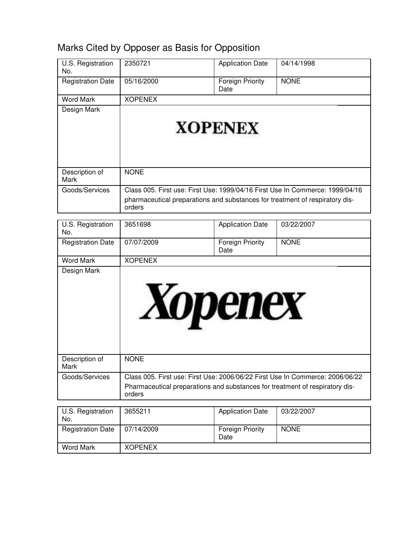| U.S. Registration<br>No. | 2350721                                                                                | <b>Application Date</b>         | 04/14/1998                                                                    |
|--------------------------|----------------------------------------------------------------------------------------|---------------------------------|-------------------------------------------------------------------------------|
| <b>Registration Date</b> | 05/16/2000                                                                             | <b>Foreign Priority</b><br>Date | <b>NONE</b>                                                                   |
| <b>Word Mark</b>         | <b>XOPENEX</b>                                                                         |                                 |                                                                               |
| Design Mark              |                                                                                        |                                 |                                                                               |
|                          |                                                                                        |                                 |                                                                               |
|                          |                                                                                        | <b>XOPENEX</b>                  |                                                                               |
| Description of           | <b>NONE</b>                                                                            |                                 |                                                                               |
| Mark                     |                                                                                        |                                 |                                                                               |
| Goods/Services           |                                                                                        |                                 | Class 005. First use: First Use: 1999/04/16 First Use In Commerce: 1999/04/16 |
|                          | pharmaceutical preparations and substances for treatment of respiratory dis-<br>orders |                                 |                                                                               |
| U.S. Registration        | 3651698                                                                                | <b>Application Date</b>         | 03/22/2007                                                                    |
| No.                      |                                                                                        |                                 |                                                                               |
| <b>Registration Date</b> | 07/07/2009                                                                             | <b>Foreign Priority</b><br>Date | <b>NONE</b>                                                                   |
| <b>Word Mark</b>         | <b>XOPENEX</b>                                                                         |                                 |                                                                               |
|                          | <b>Xopenex</b>                                                                         |                                 |                                                                               |
| Description of<br>Mark   | <b>NONE</b>                                                                            |                                 |                                                                               |
| Goods/Services           | Pharmaceutical preparations and substances for treatment of respiratory dis-<br>orders |                                 | Class 005. First use: First Use: 2006/06/22 First Use In Commerce: 2006/06/22 |
|                          | 3655211                                                                                |                                 |                                                                               |
| U.S. Registration<br>No. |                                                                                        | <b>Application Date</b>         | 03/22/2007                                                                    |
| <b>Registration Date</b> | 07/14/2009                                                                             | Foreign Priority<br>Date        | <b>NONE</b>                                                                   |
| <b>Word Mark</b>         | <b>XOPENEX</b>                                                                         |                                 |                                                                               |

# Marks Cited by Opposer as Basis for Opposition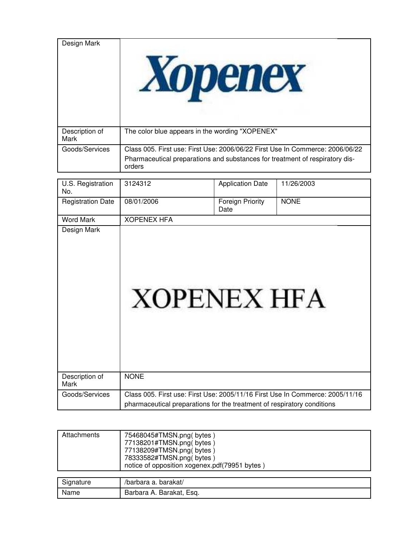| Design Mark            |                                                                                                                                                                         |
|------------------------|-------------------------------------------------------------------------------------------------------------------------------------------------------------------------|
| Description of<br>Mark | The color blue appears in the wording "XOPENEX"                                                                                                                         |
| Goods/Services         | Class 005. First use: First Use: 2006/06/22 First Use In Commerce: 2006/06/22<br>Pharmaceutical preparations and substances for treatment of respiratory dis-<br>orders |

| U.S. Registration<br>No. | 3124312                                                                                                                                                  | <b>Application Date</b>  | 11/26/2003  |
|--------------------------|----------------------------------------------------------------------------------------------------------------------------------------------------------|--------------------------|-------------|
| <b>Registration Date</b> | 08/01/2006                                                                                                                                               | Foreign Priority<br>Date | <b>NONE</b> |
| <b>Word Mark</b>         | <b>XOPENEX HFA</b>                                                                                                                                       |                          |             |
| Design Mark              | <b>XOPENEX HFA</b>                                                                                                                                       |                          |             |
| Description of<br>Mark   | <b>NONE</b>                                                                                                                                              |                          |             |
| Goods/Services           | Class 005. First use: First Use: 2005/11/16 First Use In Commerce: 2005/11/16<br>pharmaceutical preparations for the treatment of respiratory conditions |                          |             |

| Attachments | 75468045#TMSN.png(bytes)<br>77138201#TMSN.png(bytes)<br>77138209#TMSN.png(bytes)<br>78333582#TMSN.png(bytes)<br>notice of opposition xogenex.pdf(79951 bytes) |
|-------------|---------------------------------------------------------------------------------------------------------------------------------------------------------------|
| Signature   | /barbara a. barakat/                                                                                                                                          |
| Name        | Barbara A. Barakat, Esq.                                                                                                                                      |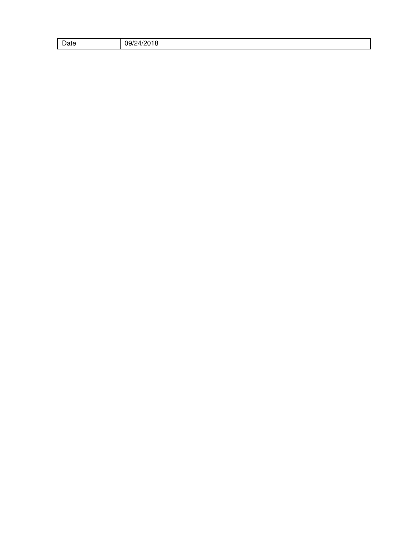| $\sim$<br>Date | 00/r<br>חרו<br>.<br>ושי<br>טו ט<br>. . |
|----------------|----------------------------------------|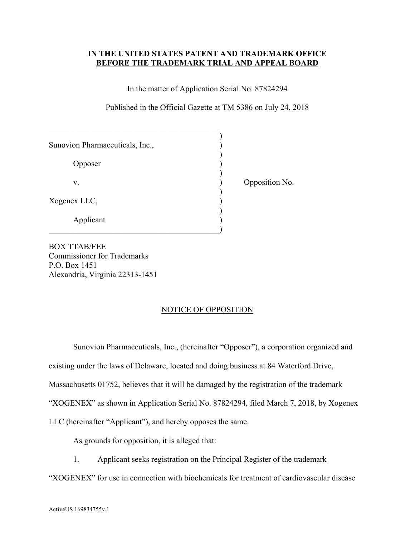#### **IN THE UNITED STATES PATENT AND TRADEMARK OFFICE BEFORE THE TRADEMARK TRIAL AND APPEAL BOARD**

In the matter of Application Serial No. 87824294

Published in the Official Gazette at TM 5386 on July 24, 2018

| Sunovion Pharmaceuticals, Inc., |  |
|---------------------------------|--|
|                                 |  |
| <b>Opposer</b>                  |  |
|                                 |  |
| V.                              |  |
|                                 |  |
| Xogenex LLC,                    |  |
|                                 |  |
| Applicant                       |  |
|                                 |  |

Opposition No.

BOX TTAB/FEE Commissioner for Trademarks P.O. Box 1451 Alexandria, Virginia 22313-1451

#### NOTICE OF OPPOSITION

Sunovion Pharmaceuticals, Inc., (hereinafter "Opposer"), a corporation organized and

existing under the laws of Delaware, located and doing business at 84 Waterford Drive,

Massachusetts 01752, believes that it will be damaged by the registration of the trademark

"XOGENEX" as shown in Application Serial No. 87824294, filed March 7, 2018, by Xogenex

LLC (hereinafter "Applicant"), and hereby opposes the same.

As grounds for opposition, it is alleged that:

1. Applicant seeks registration on the Principal Register of the trademark

"XOGENEX" for use in connection with biochemicals for treatment of cardiovascular disease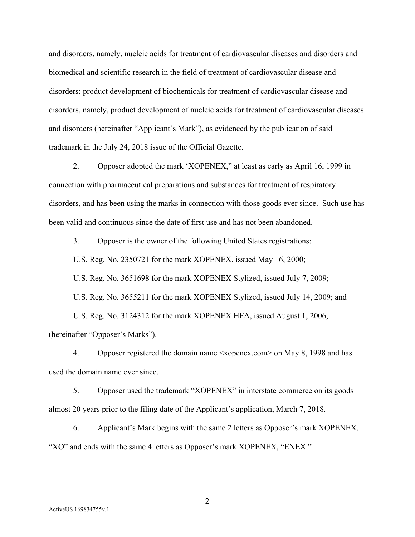and disorders, namely, nucleic acids for treatment of cardiovascular diseases and disorders and biomedical and scientific research in the field of treatment of cardiovascular disease and disorders; product development of biochemicals for treatment of cardiovascular disease and disorders, namely, product development of nucleic acids for treatment of cardiovascular diseases and disorders (hereinafter "Applicant's Mark"), as evidenced by the publication of said trademark in the July 24, 2018 issue of the Official Gazette.

2. Opposer adopted the mark 'XOPENEX," at least as early as April 16, 1999 in connection with pharmaceutical preparations and substances for treatment of respiratory disorders, and has been using the marks in connection with those goods ever since. Such use has been valid and continuous since the date of first use and has not been abandoned.

3. Opposer is the owner of the following United States registrations:

U.S. Reg. No. 2350721 for the mark XOPENEX, issued May 16, 2000;

U.S. Reg. No. 3651698 for the mark XOPENEX Stylized, issued July 7, 2009;

U.S. Reg. No. 3655211 for the mark XOPENEX Stylized, issued July 14, 2009; and

U.S. Reg. No. 3124312 for the mark XOPENEX HFA, issued August 1, 2006,

(hereinafter "Opposer's Marks").

4. Opposer registered the domain name <xopenex.com> on May 8, 1998 and has used the domain name ever since.

5. Opposer used the trademark "XOPENEX" in interstate commerce on its goods almost 20 years prior to the filing date of the Applicant's application, March 7, 2018.

6. Applicant's Mark begins with the same 2 letters as Opposer's mark XOPENEX, "XO" and ends with the same 4 letters as Opposer's mark XOPENEX, "ENEX."

- 2 -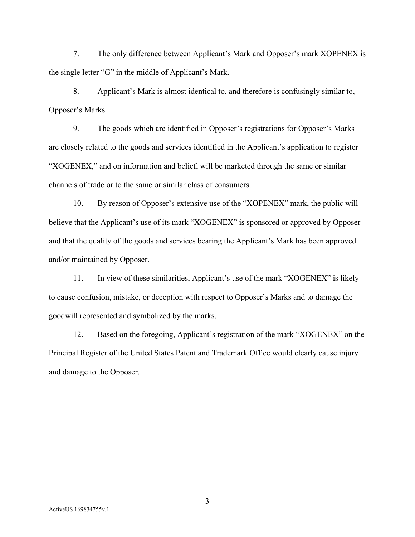7. The only difference between Applicant's Mark and Opposer's mark XOPENEX is the single letter "G" in the middle of Applicant's Mark.

8. Applicant's Mark is almost identical to, and therefore is confusingly similar to, Opposer's Marks.

9. The goods which are identified in Opposer's registrations for Opposer's Marks are closely related to the goods and services identified in the Applicant's application to register "XOGENEX," and on information and belief, will be marketed through the same or similar channels of trade or to the same or similar class of consumers.

10. By reason of Opposer's extensive use of the "XOPENEX" mark, the public will believe that the Applicant's use of its mark "XOGENEX" is sponsored or approved by Opposer and that the quality of the goods and services bearing the Applicant's Mark has been approved and/or maintained by Opposer.

11. In view of these similarities, Applicant's use of the mark "XOGENEX" is likely to cause confusion, mistake, or deception with respect to Opposer's Marks and to damage the goodwill represented and symbolized by the marks.

12. Based on the foregoing, Applicant's registration of the mark "XOGENEX" on the Principal Register of the United States Patent and Trademark Office would clearly cause injury and damage to the Opposer.

- 3 -